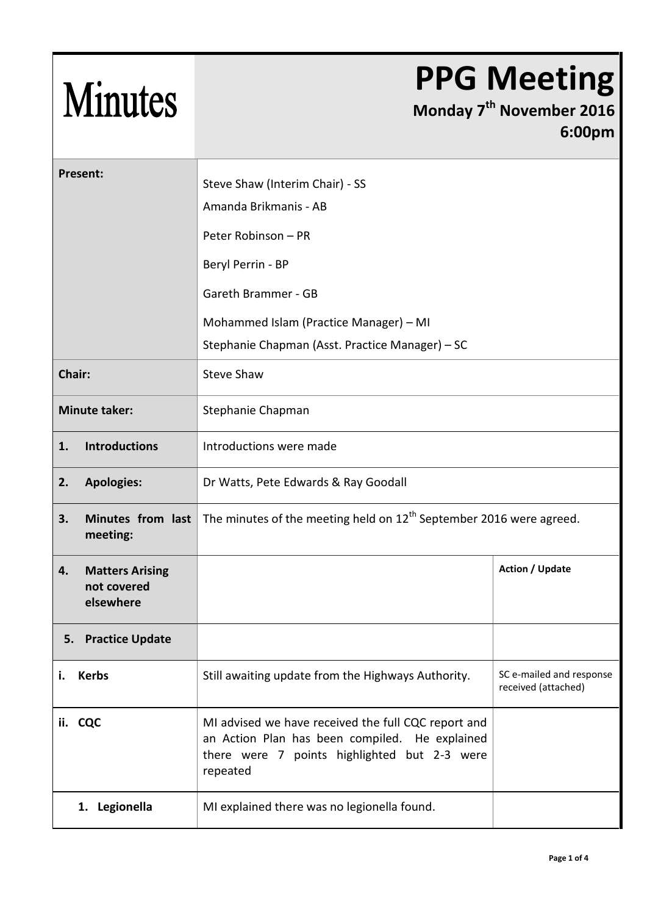## Minutes

## **PPG Meeting**

**Monday 7 th November 2016 6:00pm**

| <b>Present:</b>                                          |                                                                                                                                                                   |                                                 |  |
|----------------------------------------------------------|-------------------------------------------------------------------------------------------------------------------------------------------------------------------|-------------------------------------------------|--|
|                                                          | Steve Shaw (Interim Chair) - SS                                                                                                                                   |                                                 |  |
|                                                          | Amanda Brikmanis - AB                                                                                                                                             |                                                 |  |
|                                                          | Peter Robinson - PR                                                                                                                                               |                                                 |  |
|                                                          | Beryl Perrin - BP                                                                                                                                                 |                                                 |  |
|                                                          | Gareth Brammer - GB                                                                                                                                               |                                                 |  |
|                                                          | Mohammed Islam (Practice Manager) - MI                                                                                                                            |                                                 |  |
|                                                          | Stephanie Chapman (Asst. Practice Manager) - SC                                                                                                                   |                                                 |  |
| Chair:                                                   | <b>Steve Shaw</b>                                                                                                                                                 |                                                 |  |
| <b>Minute taker:</b>                                     | Stephanie Chapman                                                                                                                                                 |                                                 |  |
| <b>Introductions</b><br>1.                               | Introductions were made                                                                                                                                           |                                                 |  |
| <b>Apologies:</b><br>2.                                  | Dr Watts, Pete Edwards & Ray Goodall                                                                                                                              |                                                 |  |
| Minutes from last<br>3.<br>meeting:                      | The minutes of the meeting held on $12^{th}$ September 2016 were agreed.                                                                                          |                                                 |  |
| <b>Matters Arising</b><br>4.<br>not covered<br>elsewhere |                                                                                                                                                                   | <b>Action / Update</b>                          |  |
| <b>Practice Update</b><br>5.                             |                                                                                                                                                                   |                                                 |  |
| <b>Kerbs</b><br>i.                                       | Still awaiting update from the Highways Authority.                                                                                                                | SC e-mailed and response<br>received (attached) |  |
| ii. CQC                                                  | MI advised we have received the full CQC report and<br>an Action Plan has been compiled. He explained<br>there were 7 points highlighted but 2-3 were<br>repeated |                                                 |  |
| 1. Legionella                                            | MI explained there was no legionella found.                                                                                                                       |                                                 |  |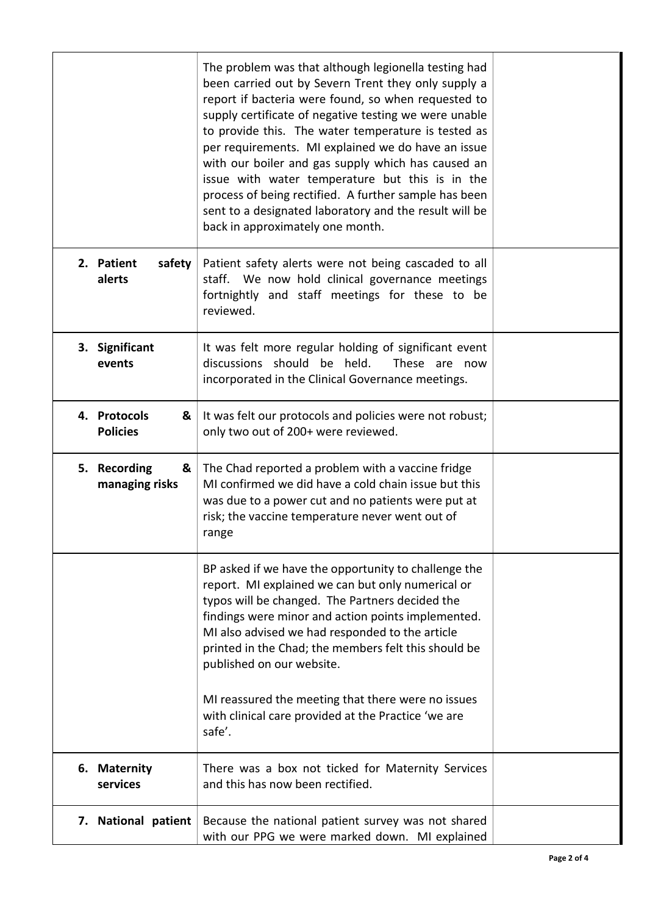|                                      | The problem was that although legionella testing had<br>been carried out by Severn Trent they only supply a<br>report if bacteria were found, so when requested to<br>supply certificate of negative testing we were unable<br>to provide this. The water temperature is tested as<br>per requirements. MI explained we do have an issue<br>with our boiler and gas supply which has caused an<br>issue with water temperature but this is in the<br>process of being rectified. A further sample has been<br>sent to a designated laboratory and the result will be<br>back in approximately one month. |  |
|--------------------------------------|----------------------------------------------------------------------------------------------------------------------------------------------------------------------------------------------------------------------------------------------------------------------------------------------------------------------------------------------------------------------------------------------------------------------------------------------------------------------------------------------------------------------------------------------------------------------------------------------------------|--|
| 2. Patient<br>safety<br>alerts       | Patient safety alerts were not being cascaded to all<br>staff. We now hold clinical governance meetings<br>fortnightly and staff meetings for these to be<br>reviewed.                                                                                                                                                                                                                                                                                                                                                                                                                                   |  |
| 3. Significant<br>events             | It was felt more regular holding of significant event<br>discussions should be held.<br>These are now<br>incorporated in the Clinical Governance meetings.                                                                                                                                                                                                                                                                                                                                                                                                                                               |  |
| 4. Protocols<br>&<br><b>Policies</b> | It was felt our protocols and policies were not robust;<br>only two out of 200+ were reviewed.                                                                                                                                                                                                                                                                                                                                                                                                                                                                                                           |  |
| 5. Recording<br>&<br>managing risks  | The Chad reported a problem with a vaccine fridge<br>MI confirmed we did have a cold chain issue but this<br>was due to a power cut and no patients were put at<br>risk; the vaccine temperature never went out of<br>range                                                                                                                                                                                                                                                                                                                                                                              |  |
|                                      | BP asked if we have the opportunity to challenge the<br>report. MI explained we can but only numerical or<br>typos will be changed. The Partners decided the<br>findings were minor and action points implemented.<br>MI also advised we had responded to the article<br>printed in the Chad; the members felt this should be<br>published on our website.<br>MI reassured the meeting that there were no issues<br>with clinical care provided at the Practice 'we are                                                                                                                                  |  |
|                                      | safe'.                                                                                                                                                                                                                                                                                                                                                                                                                                                                                                                                                                                                   |  |
| 6. Maternity<br>services             | There was a box not ticked for Maternity Services<br>and this has now been rectified.                                                                                                                                                                                                                                                                                                                                                                                                                                                                                                                    |  |
| 7. National patient                  | Because the national patient survey was not shared<br>with our PPG we were marked down. MI explained                                                                                                                                                                                                                                                                                                                                                                                                                                                                                                     |  |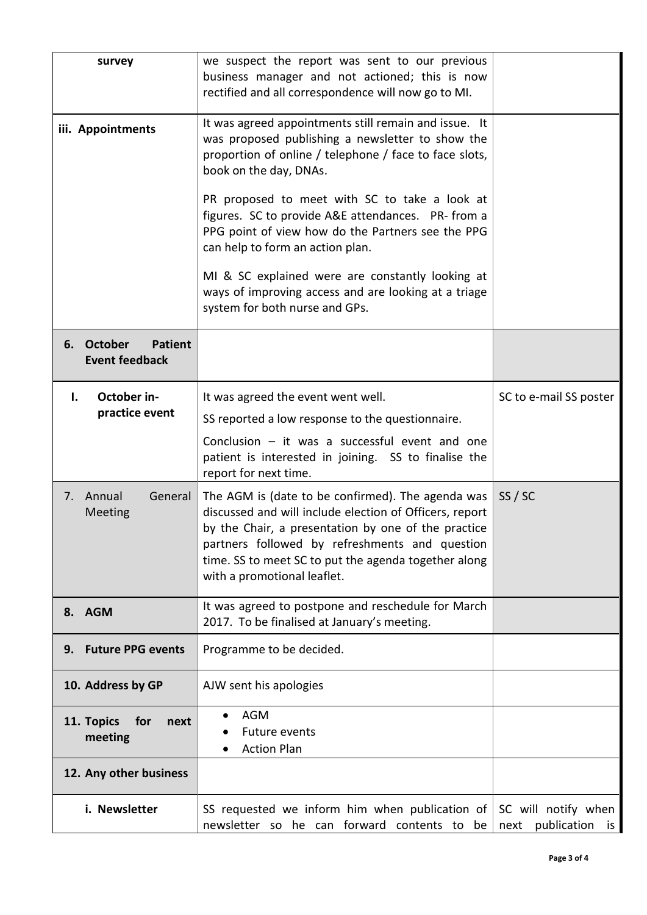| survey                                                          | we suspect the report was sent to our previous                                                                                                                                                                                                                                                               |                                            |
|-----------------------------------------------------------------|--------------------------------------------------------------------------------------------------------------------------------------------------------------------------------------------------------------------------------------------------------------------------------------------------------------|--------------------------------------------|
|                                                                 | business manager and not actioned; this is now                                                                                                                                                                                                                                                               |                                            |
|                                                                 | rectified and all correspondence will now go to MI.                                                                                                                                                                                                                                                          |                                            |
| iii. Appointments                                               | It was agreed appointments still remain and issue. It<br>was proposed publishing a newsletter to show the<br>proportion of online / telephone / face to face slots,<br>book on the day, DNAs.                                                                                                                |                                            |
|                                                                 | PR proposed to meet with SC to take a look at<br>figures. SC to provide A&E attendances. PR- from a<br>PPG point of view how do the Partners see the PPG<br>can help to form an action plan.                                                                                                                 |                                            |
|                                                                 | MI & SC explained were are constantly looking at<br>ways of improving access and are looking at a triage<br>system for both nurse and GPs.                                                                                                                                                                   |                                            |
| <b>October</b><br><b>Patient</b><br>6.<br><b>Event feedback</b> |                                                                                                                                                                                                                                                                                                              |                                            |
| October in-<br>$\mathbf{L}$                                     | It was agreed the event went well.                                                                                                                                                                                                                                                                           | SC to e-mail SS poster                     |
| practice event                                                  | SS reported a low response to the questionnaire.                                                                                                                                                                                                                                                             |                                            |
|                                                                 | Conclusion $-$ it was a successful event and one<br>patient is interested in joining. SS to finalise the<br>report for next time.                                                                                                                                                                            |                                            |
| 7. Annual<br>General<br>Meeting                                 | The AGM is (date to be confirmed). The agenda was<br>discussed and will include election of Officers, report<br>by the Chair, a presentation by one of the practice<br>partners followed by refreshments and question<br>time. SS to meet SC to put the agenda together along<br>with a promotional leaflet. | SS / SC                                    |
| 8. AGM                                                          | It was agreed to postpone and reschedule for March<br>2017. To be finalised at January's meeting.                                                                                                                                                                                                            |                                            |
| <b>Future PPG events</b><br>9.                                  | Programme to be decided.                                                                                                                                                                                                                                                                                     |                                            |
| 10. Address by GP                                               | AJW sent his apologies                                                                                                                                                                                                                                                                                       |                                            |
| 11. Topics<br>for<br>next<br>meeting                            | <b>AGM</b><br><b>Future events</b><br><b>Action Plan</b>                                                                                                                                                                                                                                                     |                                            |
| 12. Any other business                                          |                                                                                                                                                                                                                                                                                                              |                                            |
| i. Newsletter                                                   | SS requested we inform him when publication of<br>newsletter so he can forward contents to be                                                                                                                                                                                                                | SC will notify when<br>next publication is |